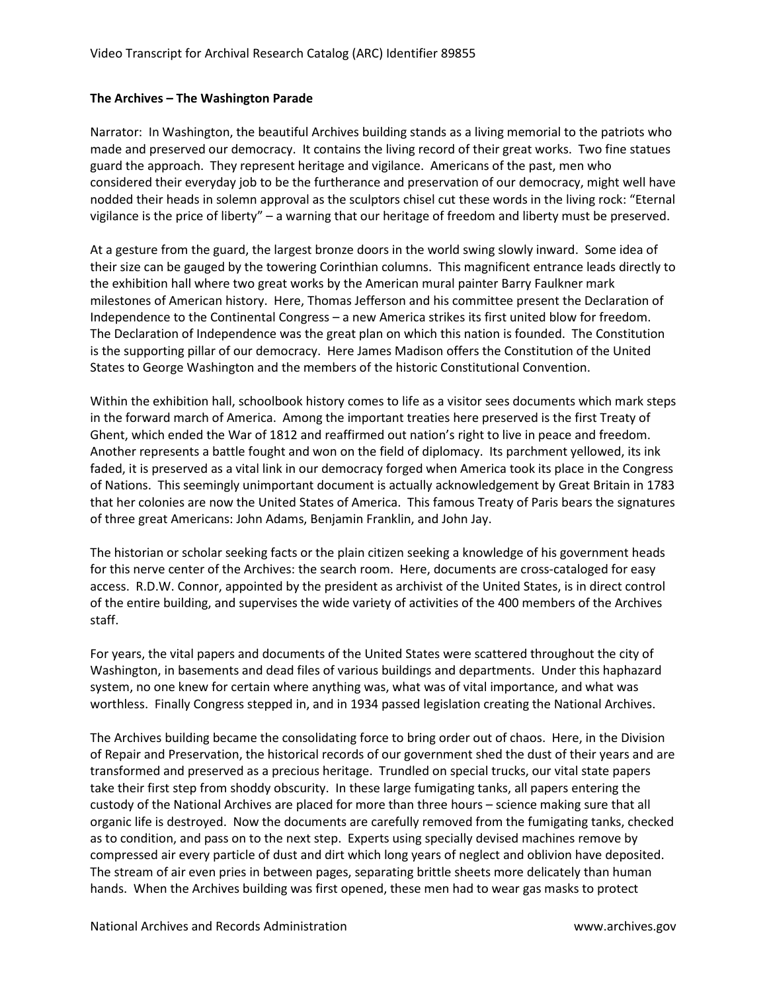## **The Archives – The Washington Parade**

Narrator: In Washington, the beautiful Archives building stands as a living memorial to the patriots who made and preserved our democracy. It contains the living record of their great works. Two fine statues guard the approach. They represent heritage and vigilance. Americans of the past, men who considered their everyday job to be the furtherance and preservation of our democracy, might well have nodded their heads in solemn approval as the sculptors chisel cut these words in the living rock: "Eternal vigilance is the price of liberty" – a warning that our heritage of freedom and liberty must be preserved.

At a gesture from the guard, the largest bronze doors in the world swing slowly inward. Some idea of their size can be gauged by the towering Corinthian columns. This magnificent entrance leads directly to the exhibition hall where two great works by the American mural painter Barry Faulkner mark milestones of American history. Here, Thomas Jefferson and his committee present the Declaration of Independence to the Continental Congress – a new America strikes its first united blow for freedom. The Declaration of Independence was the great plan on which this nation is founded. The Constitution is the supporting pillar of our democracy. Here James Madison offers the Constitution of the United States to George Washington and the members of the historic Constitutional Convention.

Within the exhibition hall, schoolbook history comes to life as a visitor sees documents which mark steps in the forward march of America. Among the important treaties here preserved is the first Treaty of Ghent, which ended the War of 1812 and reaffirmed out nation's right to live in peace and freedom. Another represents a battle fought and won on the field of diplomacy. Its parchment yellowed, its ink faded, it is preserved as a vital link in our democracy forged when America took its place in the Congress of Nations. This seemingly unimportant document is actually acknowledgement by Great Britain in 1783 that her colonies are now the United States of America. This famous Treaty of Paris bears the signatures of three great Americans: John Adams, Benjamin Franklin, and John Jay.

The historian or scholar seeking facts or the plain citizen seeking a knowledge of his government heads for this nerve center of the Archives: the search room. Here, documents are cross-cataloged for easy access. R.D.W. Connor, appointed by the president as archivist of the United States, is in direct control of the entire building, and supervises the wide variety of activities of the 400 members of the Archives staff.

For years, the vital papers and documents of the United States were scattered throughout the city of Washington, in basements and dead files of various buildings and departments. Under this haphazard system, no one knew for certain where anything was, what was of vital importance, and what was worthless. Finally Congress stepped in, and in 1934 passed legislation creating the National Archives.

The Archives building became the consolidating force to bring order out of chaos. Here, in the Division of Repair and Preservation, the historical records of our government shed the dust of their years and are transformed and preserved as a precious heritage. Trundled on special trucks, our vital state papers take their first step from shoddy obscurity. In these large fumigating tanks, all papers entering the custody of the National Archives are placed for more than three hours – science making sure that all organic life is destroyed. Now the documents are carefully removed from the fumigating tanks, checked as to condition, and pass on to the next step. Experts using specially devised machines remove by compressed air every particle of dust and dirt which long years of neglect and oblivion have deposited. The stream of air even pries in between pages, separating brittle sheets more delicately than human hands. When the Archives building was first opened, these men had to wear gas masks to protect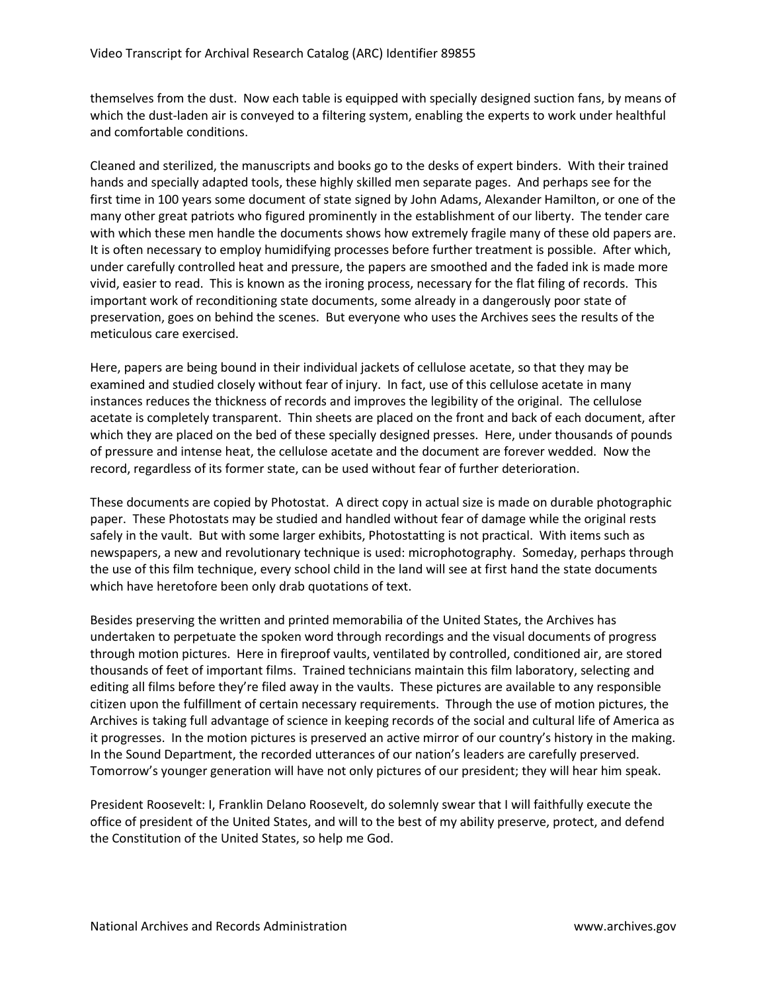themselves from the dust. Now each table is equipped with specially designed suction fans, by means of which the dust-laden air is conveyed to a filtering system, enabling the experts to work under healthful and comfortable conditions.

Cleaned and sterilized, the manuscripts and books go to the desks of expert binders. With their trained hands and specially adapted tools, these highly skilled men separate pages. And perhaps see for the first time in 100 years some document of state signed by John Adams, Alexander Hamilton, or one of the many other great patriots who figured prominently in the establishment of our liberty. The tender care with which these men handle the documents shows how extremely fragile many of these old papers are. It is often necessary to employ humidifying processes before further treatment is possible. After which, under carefully controlled heat and pressure, the papers are smoothed and the faded ink is made more vivid, easier to read. This is known as the ironing process, necessary for the flat filing of records. This important work of reconditioning state documents, some already in a dangerously poor state of preservation, goes on behind the scenes. But everyone who uses the Archives sees the results of the meticulous care exercised.

Here, papers are being bound in their individual jackets of cellulose acetate, so that they may be examined and studied closely without fear of injury. In fact, use of this cellulose acetate in many instances reduces the thickness of records and improves the legibility of the original. The cellulose acetate is completely transparent. Thin sheets are placed on the front and back of each document, after which they are placed on the bed of these specially designed presses. Here, under thousands of pounds of pressure and intense heat, the cellulose acetate and the document are forever wedded. Now the record, regardless of its former state, can be used without fear of further deterioration.

These documents are copied by Photostat. A direct copy in actual size is made on durable photographic paper. These Photostats may be studied and handled without fear of damage while the original rests safely in the vault. But with some larger exhibits, Photostatting is not practical. With items such as newspapers, a new and revolutionary technique is used: microphotography. Someday, perhaps through the use of this film technique, every school child in the land will see at first hand the state documents which have heretofore been only drab quotations of text.

Besides preserving the written and printed memorabilia of the United States, the Archives has undertaken to perpetuate the spoken word through recordings and the visual documents of progress through motion pictures. Here in fireproof vaults, ventilated by controlled, conditioned air, are stored thousands of feet of important films. Trained technicians maintain this film laboratory, selecting and editing all films before they're filed away in the vaults. These pictures are available to any responsible citizen upon the fulfillment of certain necessary requirements. Through the use of motion pictures, the Archives is taking full advantage of science in keeping records of the social and cultural life of America as it progresses. In the motion pictures is preserved an active mirror of our country's history in the making. In the Sound Department, the recorded utterances of our nation's leaders are carefully preserved. Tomorrow's younger generation will have not only pictures of our president; they will hear him speak.

President Roosevelt: I, Franklin Delano Roosevelt, do solemnly swear that I will faithfully execute the office of president of the United States, and will to the best of my ability preserve, protect, and defend the Constitution of the United States, so help me God.